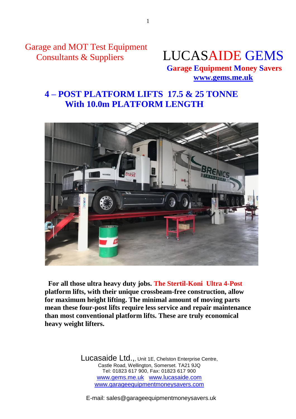Garage and MOT Test Equipment



 **Garage Equipment Money Savers [www.gems.me.uk](http://www.gems.me.uk/)**

## **4 – POST PLATFORM LIFTS 17.5 & 25 TONNE With 10.0m PLATFORM LENGTH**



**For all those ultra heavy duty jobs. The Stertil-Koni Ultra 4-Post platform lifts, with their unique crossbeam-free construction, allow for maximum height lifting. The minimal amount of moving parts mean these four-post lifts require less service and repair maintenance than most conventional platform lifts. These are truly economical heavy weight lifters.**

> Lucasaide Ltd.,, Unit 1E, Chelston Enterprise Centre, Castle Road, Wellington, Somerset. TA21 9JQ Tel: 01823 617 900, Fax: 01823 617 900 www.gems.me.uk www.lucasaide.com www.garageequipmentmoneysavers.com

E-mail: sales@garageequipmentmoneysavers.uk

1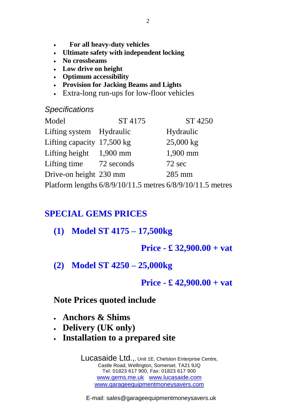- **For all heavy-duty vehicles**
- **Ultimate safety with independent locking**
- **No crossbeams**
- **Low drive on height**
- **Optimum accessibility**
- **Provision for Jacking Beams and Lights**
- Extra-long run-ups for low-floor vehicles

#### *Specifications*

| Model                        | ST 4175                                                    | ST 4250   |
|------------------------------|------------------------------------------------------------|-----------|
| Lifting system Hydraulic     |                                                            | Hydraulic |
| Lifting capacity $17,500$ kg |                                                            | 25,000 kg |
| Lifting height $1,900$ mm    |                                                            | 1,900 mm  |
| Lifting time 72 seconds      |                                                            | 72 sec    |
| Drive-on height 230 mm       |                                                            | 285 mm    |
|                              | Platform lengths 6/8/9/10/11.5 metres 6/8/9/10/11.5 metres |           |

# **SPECIAL GEMS PRICES**

- **(1) Model ST 4175 – 17,500kg** 
	- **Price - £ 32,900.00 + vat**
- **(2) Model ST 4250 – 25,000kg**

#### **Price - £ 42,900.00 + vat**

### **Note Prices quoted include**

- **Anchors & Shims**
- **Delivery (UK only)**
- **Installation to a prepared site**

Lucasaide Ltd.,, Unit 1E, Chelston Enterprise Centre, Castle Road, Wellington, Somerset. TA21 9JQ Tel: 01823 617 900, Fax: 01823 617 900 www.gems.me.uk www.lucasaide.com www.garageequipmentmoneysavers.com